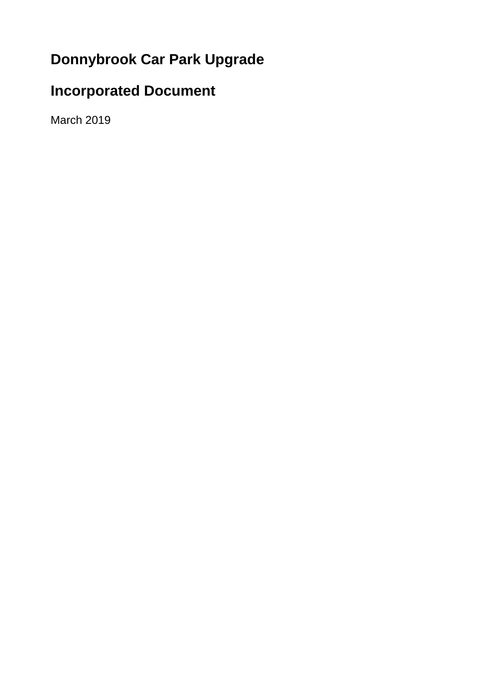# **Donnybrook Car Park Upgrade**

# **Incorporated Document**

March 2019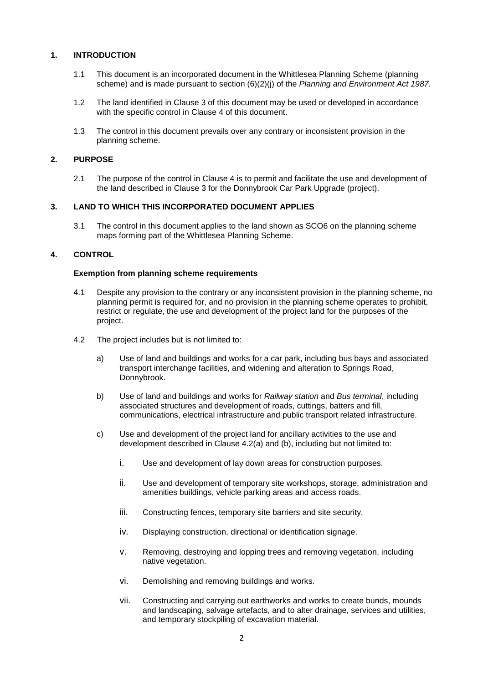# **1. INTRODUCTION**

- 1.1 This document is an incorporated document in the Whittlesea Planning Scheme (planning scheme) and is made pursuant to section (6)(2)(j) of the *Planning and Environment Act 1987*.
- 1.2 The land identified in Clause 3 of this document may be used or developed in accordance with the specific control in Clause 4 of this document.
- 1.3 The control in this document prevails over any contrary or inconsistent provision in the planning scheme.

## **2. PURPOSE**

2.1 The purpose of the control in Clause 4 is to permit and facilitate the use and development of the land described in Clause 3 for the Donnybrook Car Park Upgrade (project).

## **3. LAND TO WHICH THIS INCORPORATED DOCUMENT APPLIES**

3.1 The control in this document applies to the land shown as SCO6 on the planning scheme maps forming part of the Whittlesea Planning Scheme.

# **4. CONTROL**

### **Exemption from planning scheme requirements**

- 4.1 Despite any provision to the contrary or any inconsistent provision in the planning scheme, no planning permit is required for, and no provision in the planning scheme operates to prohibit, restrict or regulate, the use and development of the project land for the purposes of the project.
- 4.2 The project includes but is not limited to:
	- a) Use of land and buildings and works for a car park, including bus bays and associated transport interchange facilities, and widening and alteration to Springs Road, Donnybrook.
	- b) Use of land and buildings and works for *Railway station* and *Bus terminal*, including associated structures and development of roads, cuttings, batters and fill, communications, electrical infrastructure and public transport related infrastructure.
	- c) Use and development of the project land for ancillary activities to the use and development described in Clause 4.2(a) and (b), including but not limited to:
		- i. Use and development of lay down areas for construction purposes.
		- ii. Use and development of temporary site workshops, storage, administration and amenities buildings, vehicle parking areas and access roads.
		- iii. Constructing fences, temporary site barriers and site security.
		- iv. Displaying construction, directional or identification signage.
		- v. Removing, destroying and lopping trees and removing vegetation, including native vegetation.
		- vi. Demolishing and removing buildings and works.
		- vii. Constructing and carrying out earthworks and works to create bunds, mounds and landscaping, salvage artefacts, and to alter drainage, services and utilities, and temporary stockpiling of excavation material.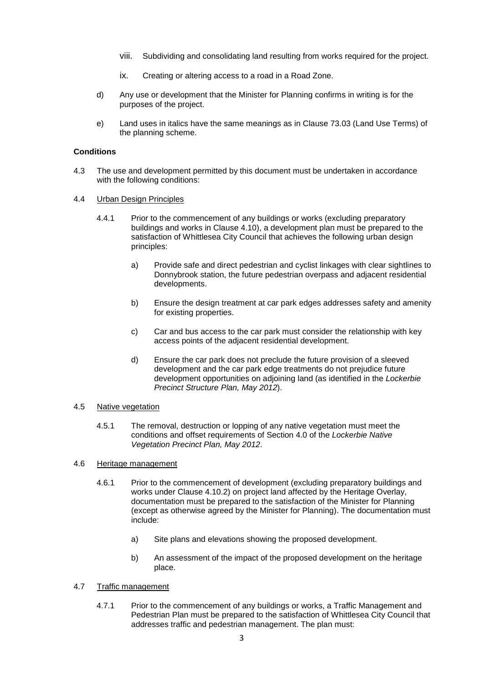- viii. Subdividing and consolidating land resulting from works required for the project.
- ix. Creating or altering access to a road in a Road Zone.
- d) Any use or development that the Minister for Planning confirms in writing is for the purposes of the project.
- e) Land uses in italics have the same meanings as in Clause 73.03 (Land Use Terms) of the planning scheme.

## **Conditions**

- 4.3 The use and development permitted by this document must be undertaken in accordance with the following conditions:
- 4.4 Urban Design Principles
	- 4.4.1 Prior to the commencement of any buildings or works (excluding preparatory buildings and works in Clause 4.10), a development plan must be prepared to the satisfaction of Whittlesea City Council that achieves the following urban design principles:
		- a) Provide safe and direct pedestrian and cyclist linkages with clear sightlines to Donnybrook station, the future pedestrian overpass and adjacent residential developments.
		- b) Ensure the design treatment at car park edges addresses safety and amenity for existing properties.
		- c) Car and bus access to the car park must consider the relationship with key access points of the adjacent residential development.
		- d) Ensure the car park does not preclude the future provision of a sleeved development and the car park edge treatments do not prejudice future development opportunities on adjoining land (as identified in the *Lockerbie Precinct Structure Plan, May 2012*).

### 4.5 Native vegetation

4.5.1 The removal, destruction or lopping of any native vegetation must meet the conditions and offset requirements of Section 4.0 of the *Lockerbie Native Vegetation Precinct Plan, May 2012*.

### 4.6 Heritage management

- 4.6.1 Prior to the commencement of development (excluding preparatory buildings and works under Clause 4.10.2) on project land affected by the Heritage Overlay, documentation must be prepared to the satisfaction of the Minister for Planning (except as otherwise agreed by the Minister for Planning). The documentation must include:
	- a) Site plans and elevations showing the proposed development.
	- b) An assessment of the impact of the proposed development on the heritage place.

# 4.7 Traffic management

4.7.1 Prior to the commencement of any buildings or works, a Traffic Management and Pedestrian Plan must be prepared to the satisfaction of Whittlesea City Council that addresses traffic and pedestrian management. The plan must: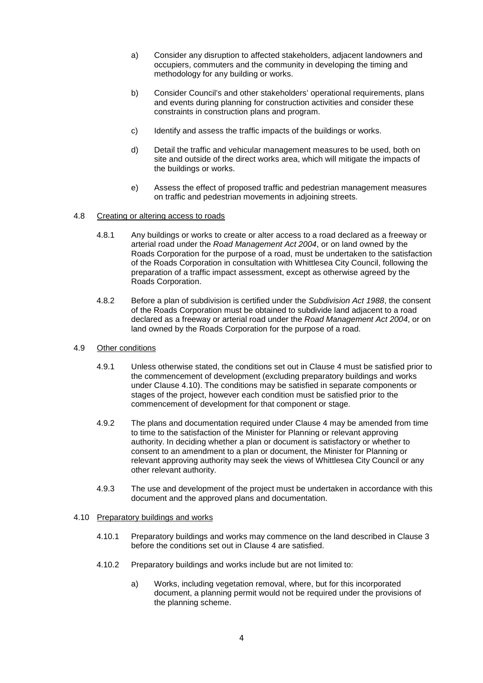- a) Consider any disruption to affected stakeholders, adjacent landowners and occupiers, commuters and the community in developing the timing and methodology for any building or works.
- b) Consider Council's and other stakeholders' operational requirements, plans and events during planning for construction activities and consider these constraints in construction plans and program.
- c) Identify and assess the traffic impacts of the buildings or works.
- d) Detail the traffic and vehicular management measures to be used, both on site and outside of the direct works area, which will mitigate the impacts of the buildings or works.
- e) Assess the effect of proposed traffic and pedestrian management measures on traffic and pedestrian movements in adjoining streets.
- 4.8 Creating or altering access to roads
	- 4.8.1 Any buildings or works to create or alter access to a road declared as a freeway or arterial road under the *Road Management Act 2004*, or on land owned by the Roads Corporation for the purpose of a road, must be undertaken to the satisfaction of the Roads Corporation in consultation with Whittlesea City Council, following the preparation of a traffic impact assessment, except as otherwise agreed by the Roads Corporation.
	- 4.8.2 Before a plan of subdivision is certified under the *Subdivision Act 1988*, the consent of the Roads Corporation must be obtained to subdivide land adjacent to a road declared as a freeway or arterial road under the *Road Management Act 2004*, or on land owned by the Roads Corporation for the purpose of a road.
- 4.9 Other conditions
	- 4.9.1 Unless otherwise stated, the conditions set out in Clause 4 must be satisfied prior to the commencement of development (excluding preparatory buildings and works under Clause 4.10). The conditions may be satisfied in separate components or stages of the project, however each condition must be satisfied prior to the commencement of development for that component or stage.
	- 4.9.2 The plans and documentation required under Clause 4 may be amended from time to time to the satisfaction of the Minister for Planning or relevant approving authority. In deciding whether a plan or document is satisfactory or whether to consent to an amendment to a plan or document, the Minister for Planning or relevant approving authority may seek the views of Whittlesea City Council or any other relevant authority.
	- 4.9.3 The use and development of the project must be undertaken in accordance with this document and the approved plans and documentation.

### 4.10 Preparatory buildings and works

- 4.10.1 Preparatory buildings and works may commence on the land described in Clause 3 before the conditions set out in Clause 4 are satisfied.
- 4.10.2 Preparatory buildings and works include but are not limited to:
	- a) Works, including vegetation removal, where, but for this incorporated document, a planning permit would not be required under the provisions of the planning scheme.